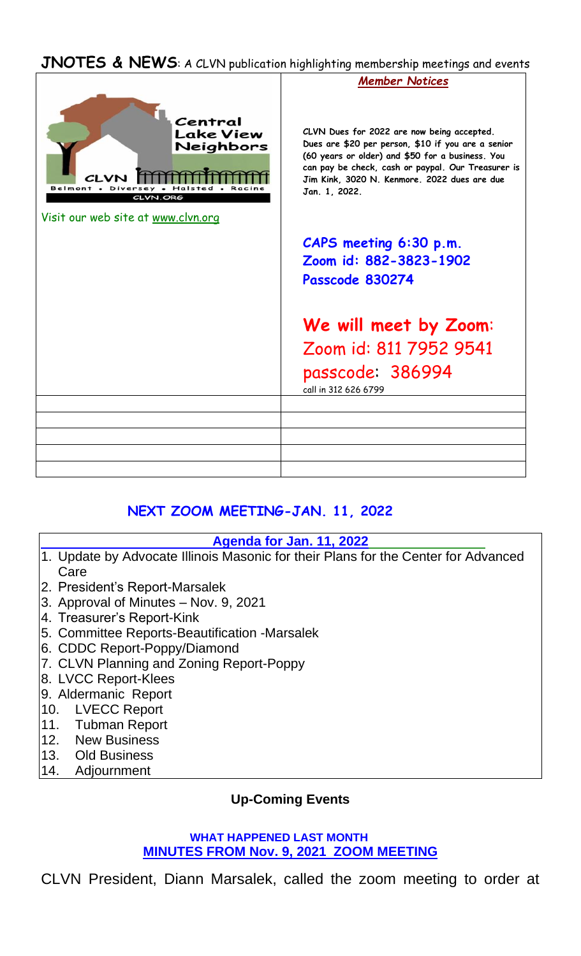### **JNOTES & NEWS**: A CLVN publication highlighting membership meetings and events



## **NEXT ZOOM MEETING-JAN. 11, 2022**

### **Agenda for Jan. 11, 2022**

- 1. Update by Advocate Illinois Masonic for their Plans for the Center for Advanced Care
- 2. President's Report-Marsalek
- 3. Approval of Minutes Nov. 9, 2021
- 4. Treasurer's Report-Kink
- 5. Committee Reports-Beautification -Marsalek
- 6. CDDC Report-Poppy/Diamond
- 7. CLVN Planning and Zoning Report-Poppy
- 8. LVCC Report-Klees
- 9. Aldermanic Report
- 10. LVECC Report
- 11. Tubman Report
- 12. New Business
- 13. Old Business
- 14. Adjournment

## **Up-Coming Events**

#### **WHAT HAPPENED LAST MONTH MINUTES FROM Nov. 9, 2021 ZOOM MEETING**

CLVN President, Diann Marsalek, called the zoom meeting to order at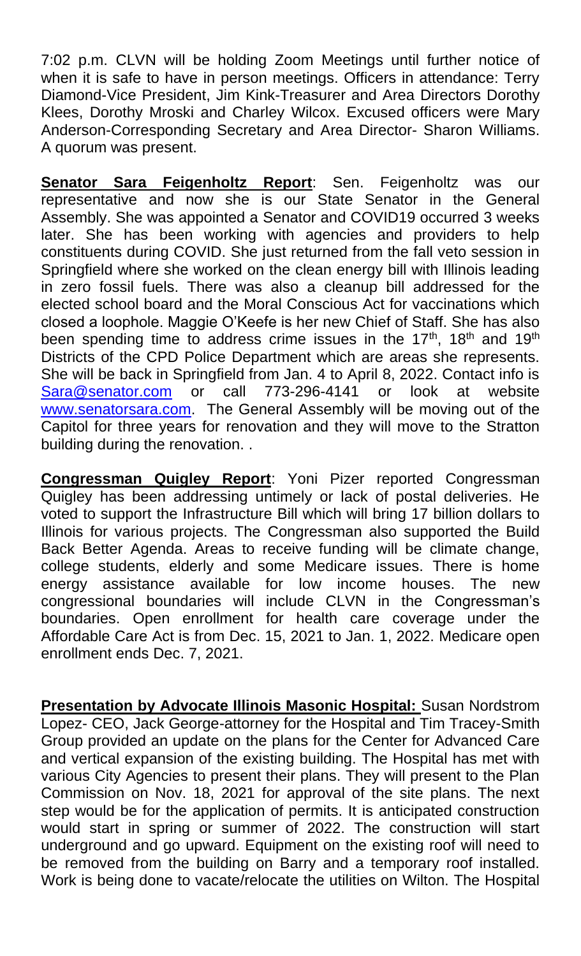7:02 p.m. CLVN will be holding Zoom Meetings until further notice of when it is safe to have in person meetings. Officers in attendance: Terry Diamond-Vice President, Jim Kink-Treasurer and Area Directors Dorothy Klees, Dorothy Mroski and Charley Wilcox. Excused officers were Mary Anderson-Corresponding Secretary and Area Director- Sharon Williams. A quorum was present.

**Senator Sara Feigenholtz Report**: Sen. Feigenholtz was our representative and now she is our State Senator in the General Assembly. She was appointed a Senator and COVID19 occurred 3 weeks later. She has been working with agencies and providers to help constituents during COVID. She just returned from the fall veto session in Springfield where she worked on the clean energy bill with Illinois leading in zero fossil fuels. There was also a cleanup bill addressed for the elected school board and the Moral Conscious Act for vaccinations which closed a loophole. Maggie O'Keefe is her new Chief of Staff. She has also been spending time to address crime issues in the  $17<sup>th</sup>$ ,  $18<sup>th</sup>$  and  $19<sup>th</sup>$ Districts of the CPD Police Department which are areas she represents. She will be back in Springfield from Jan. 4 to April 8, 2022. Contact info is [Sara@senator.com](mailto:Sara@senator.com) or call 773-296-4141 or look at website [www.senatorsara.com.](http://www.senatorsara.com/) The General Assembly will be moving out of the Capitol for three years for renovation and they will move to the Stratton building during the renovation. .

**Congressman Quigley Report**: Yoni Pizer reported Congressman Quigley has been addressing untimely or lack of postal deliveries. He voted to support the Infrastructure Bill which will bring 17 billion dollars to Illinois for various projects. The Congressman also supported the Build Back Better Agenda. Areas to receive funding will be climate change, college students, elderly and some Medicare issues. There is home energy assistance available for low income houses. The new congressional boundaries will include CLVN in the Congressman's boundaries. Open enrollment for health care coverage under the Affordable Care Act is from Dec. 15, 2021 to Jan. 1, 2022. Medicare open enrollment ends Dec. 7, 2021.

**Presentation by Advocate Illinois Masonic Hospital:** Susan Nordstrom Lopez- CEO, Jack George-attorney for the Hospital and Tim Tracey-Smith Group provided an update on the plans for the Center for Advanced Care and vertical expansion of the existing building. The Hospital has met with various City Agencies to present their plans. They will present to the Plan Commission on Nov. 18, 2021 for approval of the site plans. The next step would be for the application of permits. It is anticipated construction would start in spring or summer of 2022. The construction will start underground and go upward. Equipment on the existing roof will need to be removed from the building on Barry and a temporary roof installed. Work is being done to vacate/relocate the utilities on Wilton. The Hospital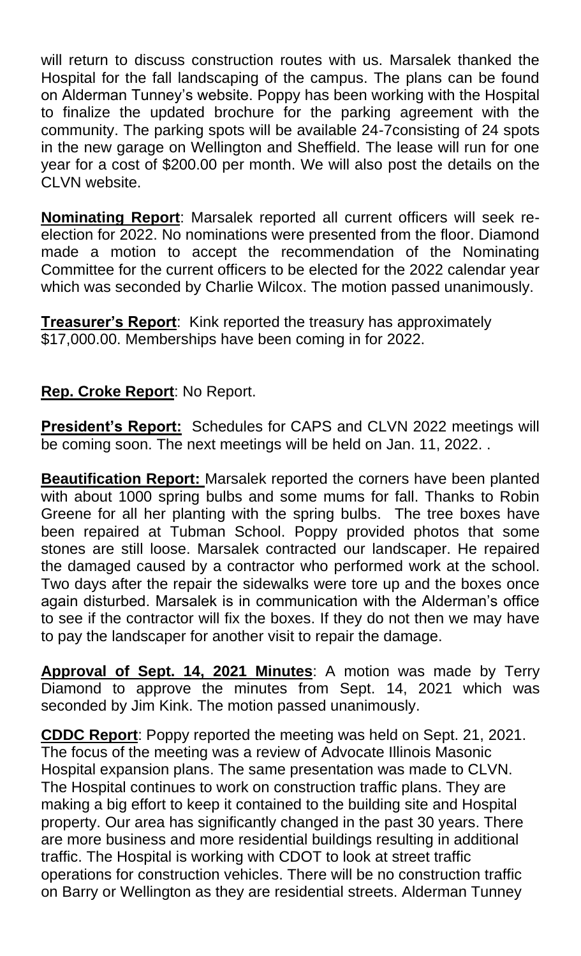will return to discuss construction routes with us. Marsalek thanked the Hospital for the fall landscaping of the campus. The plans can be found on Alderman Tunney's website. Poppy has been working with the Hospital to finalize the updated brochure for the parking agreement with the community. The parking spots will be available 24-7consisting of 24 spots in the new garage on Wellington and Sheffield. The lease will run for one year for a cost of \$200.00 per month. We will also post the details on the CLVN website.

**Nominating Report**: Marsalek reported all current officers will seek reelection for 2022. No nominations were presented from the floor. Diamond made a motion to accept the recommendation of the Nominating Committee for the current officers to be elected for the 2022 calendar year which was seconded by Charlie Wilcox. The motion passed unanimously.

**Treasurer's Report**: Kink reported the treasury has approximately \$17,000.00. Memberships have been coming in for 2022.

# **Rep. Croke Report**: No Report.

**President's Report:** Schedules for CAPS and CLVN 2022 meetings will be coming soon. The next meetings will be held on Jan. 11, 2022. .

**Beautification Report:** Marsalek reported the corners have been planted with about 1000 spring bulbs and some mums for fall. Thanks to Robin Greene for all her planting with the spring bulbs. The tree boxes have been repaired at Tubman School. Poppy provided photos that some stones are still loose. Marsalek contracted our landscaper. He repaired the damaged caused by a contractor who performed work at the school. Two days after the repair the sidewalks were tore up and the boxes once again disturbed. Marsalek is in communication with the Alderman's office to see if the contractor will fix the boxes. If they do not then we may have to pay the landscaper for another visit to repair the damage.

**Approval of Sept. 14, 2021 Minutes**: A motion was made by Terry Diamond to approve the minutes from Sept. 14, 2021 which was seconded by Jim Kink. The motion passed unanimously.

**CDDC Report**: Poppy reported the meeting was held on Sept. 21, 2021. The focus of the meeting was a review of Advocate Illinois Masonic Hospital expansion plans. The same presentation was made to CLVN. The Hospital continues to work on construction traffic plans. They are making a big effort to keep it contained to the building site and Hospital property. Our area has significantly changed in the past 30 years. There are more business and more residential buildings resulting in additional traffic. The Hospital is working with CDOT to look at street traffic operations for construction vehicles. There will be no construction traffic on Barry or Wellington as they are residential streets. Alderman Tunney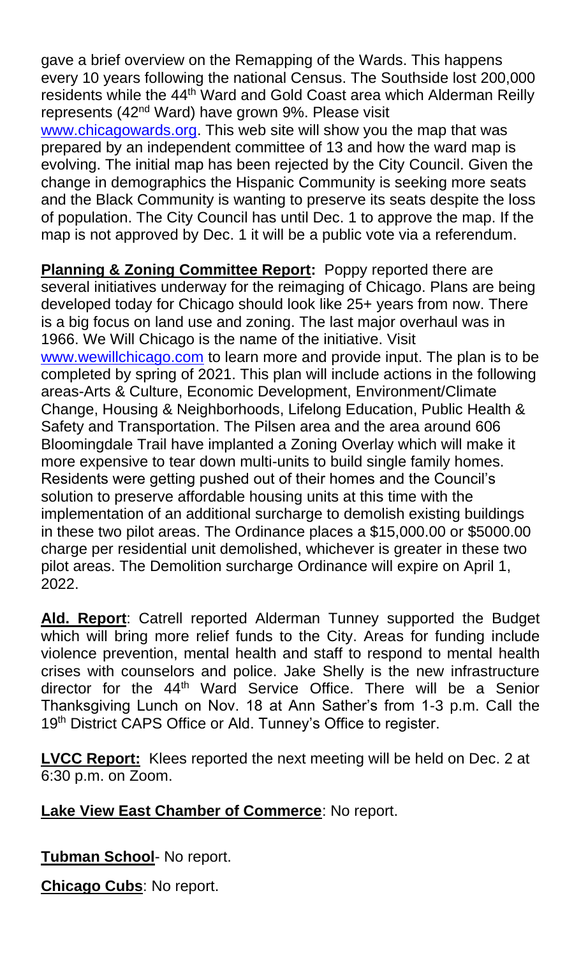gave a brief overview on the Remapping of the Wards. This happens every 10 years following the national Census. The Southside lost 200,000 residents while the 44th Ward and Gold Coast area which Alderman Reilly represents (42<sup>nd</sup> Ward) have grown 9%. Please visit

[www.chicagowards.org.](http://www.chicagowards.org/) This web site will show you the map that was prepared by an independent committee of 13 and how the ward map is evolving. The initial map has been rejected by the City Council. Given the change in demographics the Hispanic Community is seeking more seats and the Black Community is wanting to preserve its seats despite the loss of population. The City Council has until Dec. 1 to approve the map. If the map is not approved by Dec. 1 it will be a public vote via a referendum.

**Planning & Zoning Committee Report:** Poppy reported there are several initiatives underway for the reimaging of Chicago. Plans are being developed today for Chicago should look like 25+ years from now. There is a big focus on land use and zoning. The last major overhaul was in 1966. We Will Chicago is the name of the initiative. Visit [www.wewillchicago.com](http://www.wewillchicago.com/) to learn more and provide input. The plan is to be completed by spring of 2021. This plan will include actions in the following areas-Arts & Culture, Economic Development, Environment/Climate Change, Housing & Neighborhoods, Lifelong Education, Public Health & Safety and Transportation. The Pilsen area and the area around 606 Bloomingdale Trail have implanted a Zoning Overlay which will make it more expensive to tear down multi-units to build single family homes. Residents were getting pushed out of their homes and the Council's solution to preserve affordable housing units at this time with the implementation of an additional surcharge to demolish existing buildings in these two pilot areas. The Ordinance places a \$15,000.00 or \$5000.00 charge per residential unit demolished, whichever is greater in these two pilot areas. The Demolition surcharge Ordinance will expire on April 1, 2022.

**Ald. Report**: Catrell reported Alderman Tunney supported the Budget which will bring more relief funds to the City. Areas for funding include violence prevention, mental health and staff to respond to mental health crises with counselors and police. Jake Shelly is the new infrastructure director for the 44<sup>th</sup> Ward Service Office. There will be a Senior Thanksgiving Lunch on Nov. 18 at Ann Sather's from 1-3 p.m. Call the 19<sup>th</sup> District CAPS Office or Ald. Tunney's Office to register.

**LVCC Report:** Klees reported the next meeting will be held on Dec. 2 at 6:30 p.m. on Zoom.

# **Lake View East Chamber of Commerce**: No report.

**Tubman School**- No report.

**Chicago Cubs**: No report.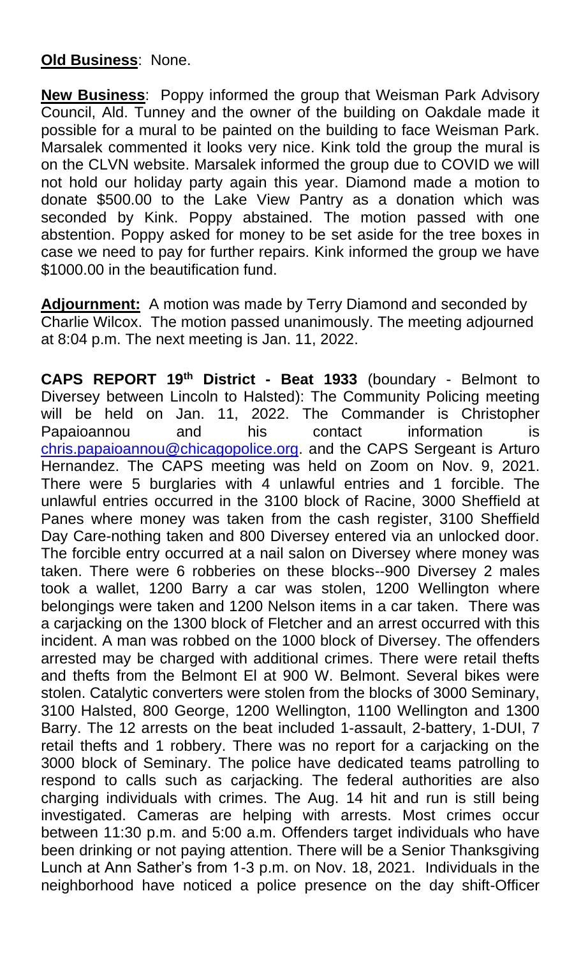## **Old Business**: None.

**New Business**: Poppy informed the group that Weisman Park Advisory Council, Ald. Tunney and the owner of the building on Oakdale made it possible for a mural to be painted on the building to face Weisman Park. Marsalek commented it looks very nice. Kink told the group the mural is on the CLVN website. Marsalek informed the group due to COVID we will not hold our holiday party again this year. Diamond made a motion to donate \$500.00 to the Lake View Pantry as a donation which was seconded by Kink. Poppy abstained. The motion passed with one abstention. Poppy asked for money to be set aside for the tree boxes in case we need to pay for further repairs. Kink informed the group we have \$1000.00 in the beautification fund.

**Adjournment:** A motion was made by Terry Diamond and seconded by Charlie Wilcox. The motion passed unanimously. The meeting adjourned at 8:04 p.m. The next meeting is Jan. 11, 2022.

**CAPS REPORT 19th District - Beat 1933** (boundary - Belmont to Diversey between Lincoln to Halsted): The Community Policing meeting will be held on Jan. 11, 2022. The Commander is Christopher Papaioannou and his contact information is [chris.papaioannou@chicagopolice.org.](mailto:chris.papaioannou@chicagopolice.org) and the CAPS Sergeant is Arturo Hernandez. The CAPS meeting was held on Zoom on Nov. 9, 2021. There were 5 burglaries with 4 unlawful entries and 1 forcible. The unlawful entries occurred in the 3100 block of Racine, 3000 Sheffield at Panes where money was taken from the cash register, 3100 Sheffield Day Care-nothing taken and 800 Diversey entered via an unlocked door. The forcible entry occurred at a nail salon on Diversey where money was taken. There were 6 robberies on these blocks--900 Diversey 2 males took a wallet, 1200 Barry a car was stolen, 1200 Wellington where belongings were taken and 1200 Nelson items in a car taken. There was a carjacking on the 1300 block of Fletcher and an arrest occurred with this incident. A man was robbed on the 1000 block of Diversey. The offenders arrested may be charged with additional crimes. There were retail thefts and thefts from the Belmont El at 900 W. Belmont. Several bikes were stolen. Catalytic converters were stolen from the blocks of 3000 Seminary, 3100 Halsted, 800 George, 1200 Wellington, 1100 Wellington and 1300 Barry. The 12 arrests on the beat included 1-assault, 2-battery, 1-DUI, 7 retail thefts and 1 robbery. There was no report for a carjacking on the 3000 block of Seminary. The police have dedicated teams patrolling to respond to calls such as carjacking. The federal authorities are also charging individuals with crimes. The Aug. 14 hit and run is still being investigated. Cameras are helping with arrests. Most crimes occur between 11:30 p.m. and 5:00 a.m. Offenders target individuals who have been drinking or not paying attention. There will be a Senior Thanksgiving Lunch at Ann Sather's from 1-3 p.m. on Nov. 18, 2021. Individuals in the neighborhood have noticed a police presence on the day shift-Officer